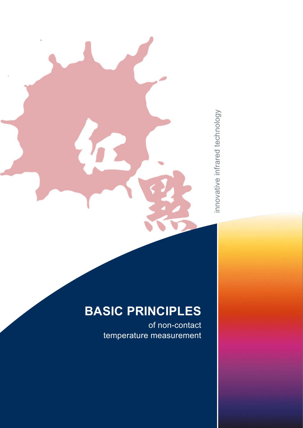innovative infrared technology innovative infrared technology

# **BASIC PRINCIPLES**

of non-contact temperature measurement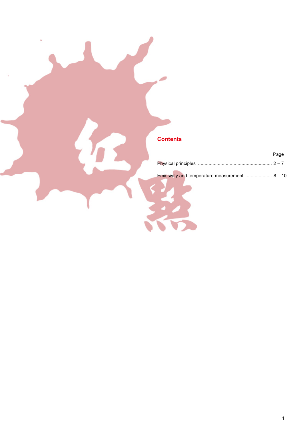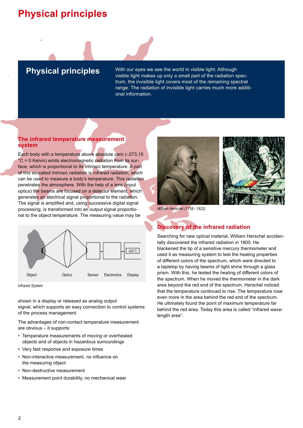## **Physical principles**



**Physical principles** With our eyes we see the world in visible light. Although visible light makes up only a small part of the radiation spectrum, the invisible light covers most of the remaining spectral range. The radiation of invisible light carries much more additional information.

#### **The infrared temperature measurement system**

Each body with a temperature above absolute zero (–273,15 °C = 0 Kelvin) emits electromagnetic radiation from its surface, which is proportional to its intrinsic temperature. A part of this so-called intrinsic radiation is infrared radiation, which can be used to measure a body's temperature. This radiation penetrates the atmosphere. With the help of a lens (input optics) the beams are focused on a detector element, which generates an electrical signal proportional to the radiation. The signal is amplified and, using successive digital signal processing, is transformed into an output signal proportional to the object temperature. The measuring value may be



*Infrared System*

shown in a display or released as analog output signal, which supports an easy connection to control systems of the process management.

The advantages of non-contact temperature measurement are obvious – it supports:

- Temperature measurements of moving or overheated objects and of objects in hazardous surroundings
- Very fast response and exposure times
- Non-interactive measurement, no influence on the measuring object
- Non-destructive measurement
- Measurement point durability, no mechanical wear





*William Herschel (1738 – 1822)*

## **Discovery of the infrared radiation**

Searching for new optical material, William Herschel accidentally discovered the infrared radiation in 1800. He blackened the tip of a sensitive mercury thermometer and used it as measuring system to test the heating properties of different colors of the spectrum, which were directed to a tapletop by having beams of light shine through a glass prism. With this, he tested the heating of different colors of the spectrum. When he moved the thermometer in the dark area beyond the red end of the spectrum, Herschel noticed that the temperature continued to rise. The temperature rose even more in the area behind the red end of the spectrum. He ultimately found the point of maximum temperature far behind the red area. Today this area is called "infrared wavelength area".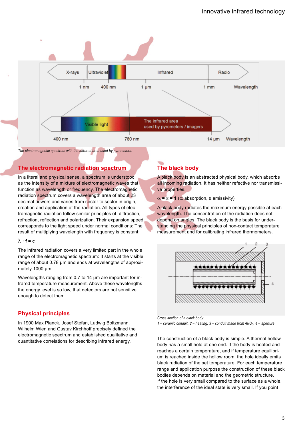

*The electromagnetic spectrum with the infrared area used by pyrometers.*

### **The electromagnetic radiation spectrum**

In a literal and physical sense, a spectrum is understood as the intensity of a mixture of electromagnetic waves that function as wavelength or frequency. The electromagnetic radiation spectrum covers a wavelength area of about 23 decimal powers and varies from sector to sector in origin, creation and application of the radiation. All types of electromagnetic radiation follow similar principles of diffraction, refraction, reflection and polarization. Their expansion speed corresponds to the light speed under normal conditions: The result of multiplying wavelength with frequency is constant:

#### $λ \cdot$ **f** = **c**

The infrared radiation covers a very limited part in the whole range of the electromagnetic spectrum: It starts at the visible range of about 0.78 µm and ends at wavelengths of approximately 1000 µm.

Wavelengths ranging from 0.7 to 14 µm are important for infrared temperature measurement. Above these wavelengths the energy level is so low, that detectors are not sensitive enough to detect them.

#### **Physical principles**

In 1900 Max Planck, Josef Stefan, Ludwig Boltzmann, Wilhelm Wien and Gustav Kirchhoff precisely defined the electromagnetic spectrum and established qualitative and quantitative correlations for describing infrared energy.

## **The black body**

A black body is an abstracted physical body, which absorbs all incoming radiation. It has neither refective nor transmissive properties.

α **=** ε **= 1** (α absorption, ε emissivity)

A black body radiates the maximum energy possible at each wavelength. The concentration of the radiation does not depend on angles. The black body is the basis for understanding the physical principles of non-contact temperature measurement and for calibrating infrared thermometers.



*Cross section of a black body:* 

 $1$  – ceramic conduit,  $2$  – heating,  $3$  – conduit made from  $Al_2O_3$ ,  $4$  – aperture

The construction of a black body is simple. A thermal hollow body has a small hole at one end. If the body is heated and reaches a certain temperature, and if temperature equilibrium is reached inside the hollow room, the hole ideally emits black radiation of the set temperature. For each temperature range and application purpose the construction of these black bodies depends on material and the geometric structure. If the hole is very small compared to the surface as a whole, the interference of the ideal state is very small. If you point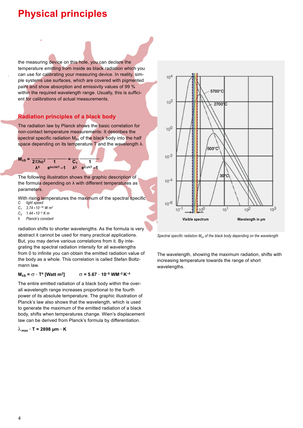## **Physical principles**

the measuring device on this hole, you can declare the temperature emitting from inside as black radiation which you can use for calibrating your measuring device. In reality, simple systems use surfaces, which are covered with pigmented paint and show absorption and emissivity values of 99 % within the required wavelength range. Usually, this is sufficient for calibrations of actual measurements.

## **Radiation principles of a black body**

The radiation law by Planck shows the basic correlation for non-contact temperature measurements: It describes the spectral specific radiation  $M_{\lambda s}$  of the black body into the half space depending on its temperature T and the wavelength λ.



The following illustration shows the graphic description of the formula depending on  $\lambda$  with different temperatures as parameters.

With rising temperatures the maximum of the spectral specific<br>C light speed

- *light speed*
- $C_1$  3.74 *\** 10<sup>-16</sup> *W m*<sup>2</sup><br> $C_2$  1.44 *\** 10<sup>-2</sup> *K m*
- $C_2$  **1.44 \* 10<sup>-2</sup> K m**<br>*h* Planck's constant *h Planck's constant*

radiation shifts to shorter wavelengths. As the formula is very abstract it cannot be used for many practical applications. But, you may derive various correlations from it. By integrating the spectral radiation intensity for all wavelengths from 0 to infinite you can obtain the emitted radiation value of the body as a whole. This correlation is called Stefan Boltzmann law.

#### **M**<sub> $λ$ S</sub> =  $\sigma \cdot T^4$  [Watt m<sup>2</sup>]  $\sigma$  = 5.67 · 10<sup>-8</sup> WM<sup>-2</sup> K<sup>-4</sup>

The entire emitted radiation of a black body within the overall wavelength range increases proportional to the fourth power of its absolute temperature. The graphic illustration of Planck's law also shows that the wavelength, which is used to generate the maximum of the emitted radiation of a black body, shifts when temperatures change. Wien's displacement law can be derived from Planck's formula by differentiation.

 $\lambda_{\text{max}} \cdot$  T = 2898 μm  $\cdot$  K



*Spectral specific radiation Mλs of the black body depending on the wavelength* 

The wavelength, showing the maximum radiation, shifts with increasing temperature towards the range of short wavelengths.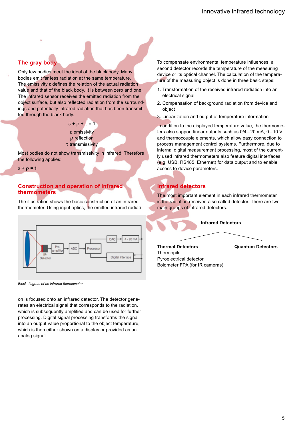### **The gray body**

Only few bodies meet the ideal of the black body. Many bodies emit far less radiation at the same temperature. The emissivity ε defines the relation of the actual radiation value and that of the black body. It is between zero and one. The infrared sensor receives the emitted radiation from the object surface, but also reflected radiation from the surroundings and potentially infrared radiation that has been transmitted through the black body.

#### ε **+** ρ **+** τ **= 1** ε emissivity ρ reflection τ transmissivity

Most bodies do not show transmissivity in infrared. Therefore the following applies:

ε **+** ρ **= 1**

#### **Construction and operation of infrared thermometers**

The illustration shows the basic construction of an infrared thermometer. Using input optics, the emitted infrared radiati-



*Block diagram of an infrared thermometer*

on is focused onto an infrared detector. The detector generates an electrical signal that corresponds to the radiation. which is subsequently amplified and can be used for further processing. Digital signal processing transforms the signal into an output value proportional to the object temperature, which is then either shown on a display or provided as an analog signal.

To compensate environmental temperature influences, a second detector records the temperature of the measuring device or its optical channel. The calculation of the temperature of the measuring object is done in three basic steps:

- 1. Transformation of the received infrared radiation into an electrical signal
- 2. Compensation of background radiation from device and object
- 3. Linearization and output of temperature information

In addition to the displayed temperature value, the thermometers also support linear outputs such as  $0/4 - 20$  mA, 0 – 10 V and thermocouple elements, which allow easy connection to process management control systems. Furthermore, due to internal digital measurement processing, most of the currently used infrared thermometers also feature digital interfaces (e.g. USB, RS485, Ethernet) for data output and to enable access to device parameters.

### **Infrared detectors**

The most important element in each infrared thermometer is the radiation receiver, also called detector. There are two main groups of infrared detectors.



**Thermopile** Pyroelectrical detector Bolometer FPA (for IR cameras)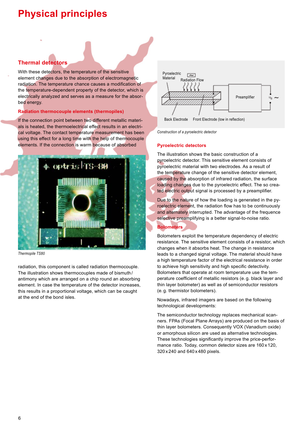## **Physical principles**

## **Thermal detectors**

With these detectors, the temperature of the sensitive element changes due to the absorption of electromagnetic radiation. The temperature chance causes a modification of the temperature-dependent property of the detector, which is electrically analyzed and serves as a measure for the absorbed energy.

#### **Radiation thermocouple elements (thermopiles)**

If the connection point between two different metallic materials is heated, the thermoelectrical effect results in an electrical voltage. The contact temperature measurement has been using this effect for a long time with the help of thermocouple elements. If the connection is warm because of absorbed





radiation, this component is called radiation thermocouple. The illustration shows thermocouples made of bismuth / antimony which are arranged on a chip round an absorbing element. In case the temperature of the detector increases, this results in a proportional voltage, which can be caught at the end of the bond isles.





*Construction of a pyroelectric detector*

#### **Pyroelectric detectors**

The illustration shows the basic construction of a pyroelectric detector. This sensitive element consists of pyroelectric material with two electrodes. As a result of the temperature change of the sensitive detector element, caused by the absorption of infrared radiation, the surface loading changes due to the pyroelectric effect. The so created electric output signal is processed by a preamplifier.

Due to the nature of how the loading is generated in the pyroelectric element, the radiation flow has to be continuously and alternately interrupted. The advantage of the frequence selective preamplifying is a better signal-to-noise ratio.

#### **Bolometers**

Bolometers exploit the temperature dependency of electric resistance. The sensitive element consists of a resistor, which changes when it absorbs heat. The change in resistance leads to a changed signal voltage. The material should have a high temperature factor of the electrical resistance in order to achieve high sensitivity and high specific detectivity. Bolometers that operate at room temperature use the temperature coefficient of metallic resistors (e. g. black layer and thin layer bolometer) as well as of semiconductor resistors (e. g. thermistor bolometers).

Nowadays, infrared imagers are based on the following technological developments:

The semiconductor technology replaces mechanical scanners. FPAs (Focal Plane Arrays) are produced on the basis of thin layer bolometers. Consequently VOX (Vanadium oxide) or amorphous silicon are used as alternative technologies. These technologies significantly improve the price-performance ratio. Today, common detector sizes are 160 x 120, 320 x 240 and 640 x 480 pixels.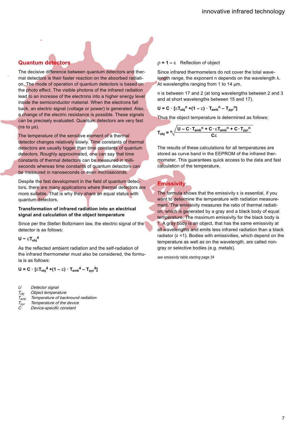## **Quantum detectors**

The decisive difference between quantum detectors and thermal detectors is their faster reaction on the absorbed radiation. The mode of operation of quantum detectors is based on the photo effect. The visible photons of the infrared radiation lead to an increase of the electrons into a higher energy level inside the semiconductor material. When the electrons fall back, an electric signal (voltage or power) is generated. Also, a change of the electric resistance is possible. These signals can be precisely evaluated. Quantum detectors are very fast  $(ns to  $\mu s$ ).$ 

The temperature of the sensitive element of a thermal detector changes relatively slowly. Time constants of thermal detectors are usually bigger than time constants of quantum detectors. Roughly approximated, one can say that time constants of thermal detectors can be measured in milliseconds whereas time constants of quantum detectors can be measured in nanoseconds or even microseconds.

Despite the fast development in the field of quantum detectors, there are many applications where thermal detectors are more suitable. That is why they share an equal status with quantum detectors.

#### **Transformation of infrared radiation into an electrical signal and calculation of the object temperature**

Since per the Stefan Boltzmann law, the electric signal of the detector is as follows:

**U ~** ε**Tobj 4**

As the reflected ambient radiation and the self-radiation of the infrared thermometer must also be considered, the formula is as follows:

**U** = **C** ⋅ [ε $T_{obj}$ <sup>4</sup> +(1 – ε) ⋅  $T_{amb}$ <sup>4</sup> –  $T_{pyr}$ <sup>4</sup>]

- U Detector signal  $T_{\text{obj}}$  Object temperature
- $T_{amb}$  Temperature of backround radiation
- $T_{pyr}$  Temperature of the device
- Device-specific constant

#### ρ **= 1 –** εReflection of object

Since infrared thermometers do not cover the total wavelength range, the exponent n depends on the wavelength λ. At wavelengths ranging from 1 to 14 um.

n is between 17 and 2 (at long wavelengths between 2 and 3 and at short wavelengths between 15 and 17).

**U** = **C** ·  $[\epsilon T_{obj}^n + (1 - \epsilon) \cdot T_{amb}^n - T_{ov}^n]$ 

Thus the object temperature is determined as follows:

$$
T_{obj} = n \sqrt{\frac{U - C \cdot T_{amb}^n + C \cdot \epsilon T_{amb}^n + C \cdot T_{pyr}^n}{C \epsilon}}
$$

The results of these calculations for all temperatures are stored as curve band in the EEPROM of the infrared thermometer. This guarantees quick access to the data and fast calculation of the temperature.

## **Emissivity**

The formula shows that the emissivity  $\varepsilon$  is essential, if you want to determine the temperature with radiation measurement. The emissivity measures the ratio of thermal radiation, which is generated by a gray and a black body of equal temperature. The maximum emissivity for the black body is 1. A gray body is an object, that has the same emissivity at all wavelengths and emits less infrared radiation than a black radiator  $(\epsilon$  <1). Bodies with emissivities, which depend on the temperature as well as on the wavelength, are called nongray or selective bodies (e.g. metals).

*see emissivity table starting page 34*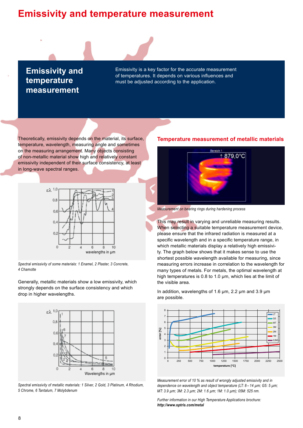## **Emissivity and temperature measurement**

**Emissivity and temperature measurement**

Emissivity is a key factor for the accurate measurement of temperatures. It depends on various influences and must be adjusted according to the application.

Theoretically, emissivity depends on the material, its surface, temperature, wavelength, measuring angle and sometimes on the measuring arrangement. Many objects consisting of non-metallic material show high and relatively constant emissivity independent of their surface consistency, at least in long-wave spectral ranges.



*Spectral emissivity of some materials: 1 Enamel, 2 Plaster, 3 Concrete, 4 Chamotte*

Generally, metallic materials show a low emissivity, which strongly depends on the surface consistency and which drop in higher wavelengths.



*Spectral emissivity of metallic materials: 1 Silver, 2 Gold, 3 Platinum, 4 Rhodium, 5 Chrome, 6 Tantalum, 7 Molybdenum*

#### **Temperature measurement of metallic materials**



*Measurement on bearing rings during hardening process*

This may result in varying and unreliable measuring results. When selecting a suitable temperature measurement device, please ensure that the infrared radiation is measured at a specific wavelength and in a specific temperature range, in which metallic materials display a relatively high emissivity. The graph below shows that it makes sense to use the shortest possible wavelength available for measuring, since measuring errors increase in correlation to the wavelength for many types of metals. For metals, the optimal wavelength at high temperatures is 0.8 to 1.0 µm, which lies at the limit of the visible area.

In addition, wavelengths of 1.6 µm, 2.2 µm and 3.9 µm are possible.



*Measurement error of 10 % as result of wrongly adjusted emissivity and in dependence on wavelength and object temperature (LT: 8 – 14 µm; G5: 5 µm; MT: 3.9 µm; 3M: 2.3 µm; 2M: 1.6 µm; 1M: 1.0 µm); 05M: 525 nm.*

*Further information in our High Temperature Applications brochure: http://www.optris.com/metal*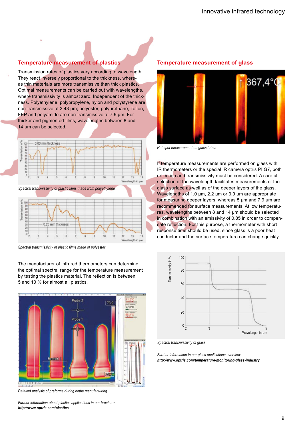### **Temperature measurement of plastics**

Transmission rates of plastics vary according to wavelength. They react inversely proportional to the thickness, whereas thin materials are more transmissive than thick plastics. Optimal measurements can be carried out with wavelengths, where transmissivity is almost zero. Independent of the thickness. Polyethylene, polypropylene, nylon and polystyrene are non-transmissive at 3.43 µm; polyester, polyurethane, Teflon, FEP and polyamide are non-transmissive at 7.9 µm. For thicker and pigmented films, wavelengths between 8 and 14 µm can be selected.



*Spectral transmissivity of plastic films made from polyethylene*



*Spectral transmissivity of plastic films made of polyester*

The manufacturer of infrared thermometers can determine the optimal spectral range for the temperature measurement by testing the plastics material. The reflection is between 5 and 10 % for almost all plastics.



*Detailed analysis of preforms during bottle manufacturing*

*Further information about plastics applications in our brochure: http://www.optris.com/plastics*

#### **Temperature measurement of glass**



*Hot spot measurement on glass tubes*

If temperature measurements are performed on glass with IR thermometers or the special IR camera optris PI G7, both reflection and transmissivity must be considered. A careful selection of the wavelength facilitates measurements of the glass surface as well as of the deeper layers of the glass. Wavelengths of 1.0 um, 2.2 um or 3.9 um are appropriate for measuring deeper layers, whereas 5 µm and 7.9 µm are recommended for surface measurements. At low temperatures, wavelengths between 8 and 14 µm should be selected in combination with an emissivity of 0.85 in order to compensate reflection. For this purpose, a thermometer with short response time should be used, since glass is a poor heat conductor and the surface temperature can change quickly.



*Spectral transmissivity of glass*

*Further information in our glass applications overview: http://www.optris.com/temperature-monitoring-glass-industry*